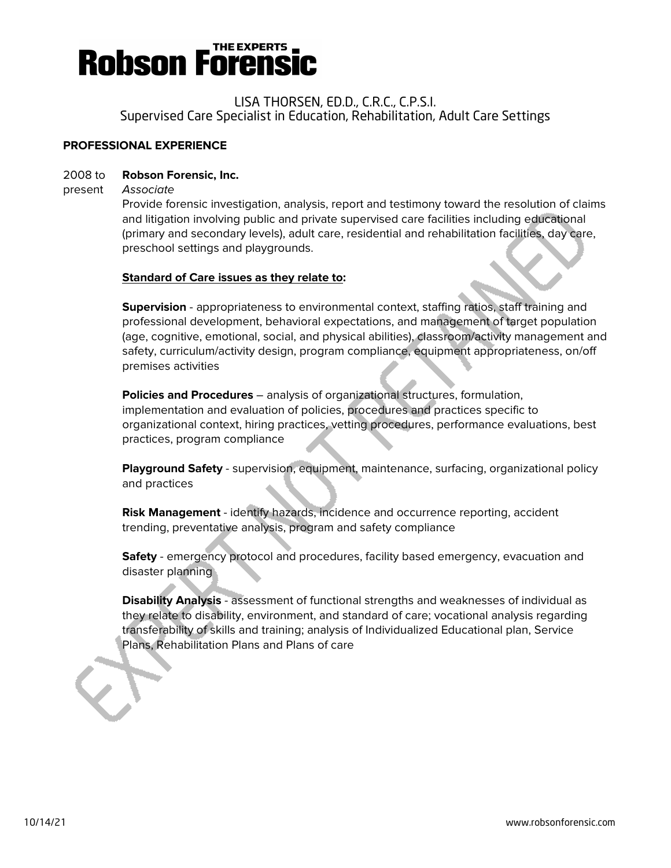

#### LISA THORSEN, ED.D., C.R.C., C.P.S.I. Supervised Care Specialist in Education, Rehabilitation, Adult Care Settings

#### **PROFESSIONAL EXPERIENCE**

#### 2008 to **Robson Forensic, Inc.**

present Associate

Provide forensic investigation, analysis, report and testimony toward the resolution of claims and litigation involving public and private supervised care facilities including educational (primary and secondary levels), adult care, residential and rehabilitation facilities, day care, preschool settings and playgrounds.

#### **Standard of Care issues as they relate to:**

**Supervision** - appropriateness to environmental context, staffing ratios, staff training and professional development, behavioral expectations, and management of target population (age, cognitive, emotional, social, and physical abilities), classroom/activity management and safety, curriculum/activity design, program compliance, equipment appropriateness, on/off premises activities

**Policies and Procedures** – analysis of organizational structures, formulation, implementation and evaluation of policies, procedures and practices specific to organizational context, hiring practices, vetting procedures, performance evaluations, best practices, program compliance

**Playground Safety** - supervision, equipment, maintenance, surfacing, organizational policy and practices

**Risk Management** - identify hazards, incidence and occurrence reporting, accident trending, preventative analysis, program and safety compliance

**Safety** - emergency protocol and procedures, facility based emergency, evacuation and disaster planning

**Disability Analysis** - assessment of functional strengths and weaknesses of individual as they relate to disability, environment, and standard of care; vocational analysis regarding transferability of skills and training; analysis of Individualized Educational plan, Service Plans, Rehabilitation Plans and Plans of care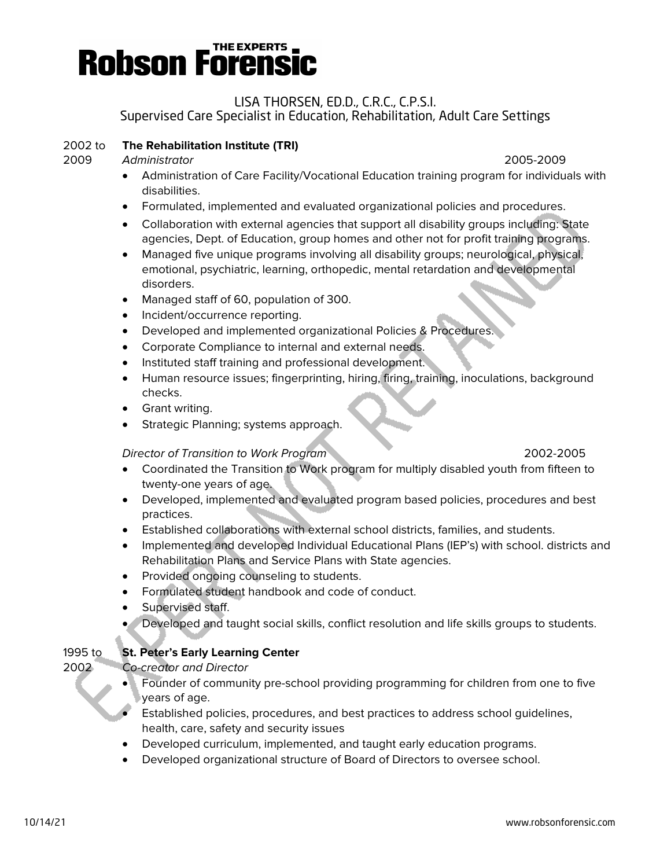

#### LISA THORSEN, ED.D., C.R.C., C.P.S.I. Supervised Care Specialist in Education, Rehabilitation, Adult Care Settings

#### 2002 to **The Rehabilitation Institute (TRI)**

2009 Administrator 2005-2009

- Administration of Care Facility/Vocational Education training program for individuals with disabilities.
- Formulated, implemented and evaluated organizational policies and procedures.
- Collaboration with external agencies that support all disability groups including: State agencies, Dept. of Education, group homes and other not for profit training programs.
- Managed five unique programs involving all disability groups; neurological, physical, emotional, psychiatric, learning, orthopedic, mental retardation and developmental disorders.
- Managed staff of 60, population of 300.
- Incident/occurrence reporting.
- Developed and implemented organizational Policies & Procedures.
- Corporate Compliance to internal and external needs.
- Instituted staff training and professional development.
- Human resource issues; fingerprinting, hiring, firing, training, inoculations, background checks.
- Grant writing.
- Strategic Planning; systems approach.

#### Director of Transition to Work Program 2002-2005

#### • Coordinated the Transition to Work program for multiply disabled youth from fifteen to twenty-one years of age.

- Developed, implemented and evaluated program based policies, procedures and best practices.
- Established collaborations with external school districts, families, and students.
- Implemented and developed Individual Educational Plans (IEP's) with school. districts and Rehabilitation Plans and Service Plans with State agencies.
- Provided ongoing counseling to students.
- Formulated student handbook and code of conduct.
- Supervised staff.
- Developed and taught social skills, conflict resolution and life skills groups to students.

#### 1995 to **St. Peter's Early Learning Center**

2002 Co-creator and Director

- Founder of community pre-school providing programming for children from one to five years of age.
- Established policies, procedures, and best practices to address school guidelines, health, care, safety and security issues
- Developed curriculum, implemented, and taught early education programs.
- Developed organizational structure of Board of Directors to oversee school.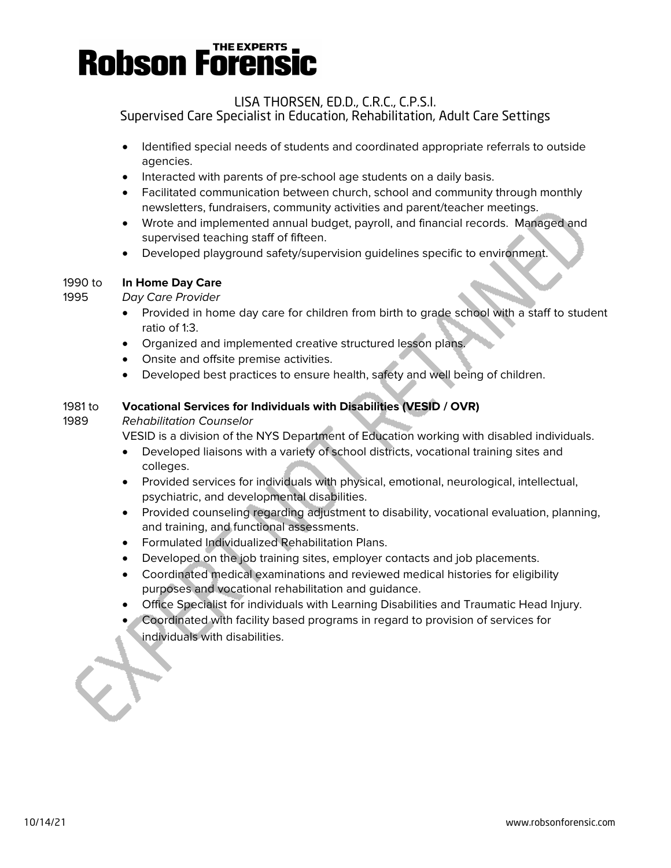#### LISA THORSEN, ED.D., C.R.C., C.P.S.I. Supervised Care Specialist in Education, Rehabilitation, Adult Care Settings

- Identified special needs of students and coordinated appropriate referrals to outside agencies.
- Interacted with parents of pre-school age students on a daily basis.
- Facilitated communication between church, school and community through monthly newsletters, fundraisers, community activities and parent/teacher meetings.
- Wrote and implemented annual budget, payroll, and financial records. Managed and supervised teaching staff of fifteen.
- Developed playground safety/supervision guidelines specific to environment.

#### 1990 to **In Home Day Care**

#### 1995 Day Care Provider

- Provided in home day care for children from birth to grade school with a staff to student ratio of 1:3.
- Organized and implemented creative structured lesson plans.
- Onsite and offsite premise activities.
- Developed best practices to ensure health, safety and well being of children.

#### 1981 to **Vocational Services for Individuals with Disabilities (VESID / OVR)**

#### 1989 Rehabilitation Counselor

VESID is a division of the NYS Department of Education working with disabled individuals.

- Developed liaisons with a variety of school districts, vocational training sites and colleges.
- Provided services for individuals with physical, emotional, neurological, intellectual, psychiatric, and developmental disabilities.
- Provided counseling regarding adjustment to disability, vocational evaluation, planning, and training, and functional assessments.
- Formulated Individualized Rehabilitation Plans.
- Developed on the job training sites, employer contacts and job placements.
- Coordinated medical examinations and reviewed medical histories for eligibility purposes and vocational rehabilitation and guidance.
- Office Specialist for individuals with Learning Disabilities and Traumatic Head Injury.
- Coordinated with facility based programs in regard to provision of services for individuals with disabilities.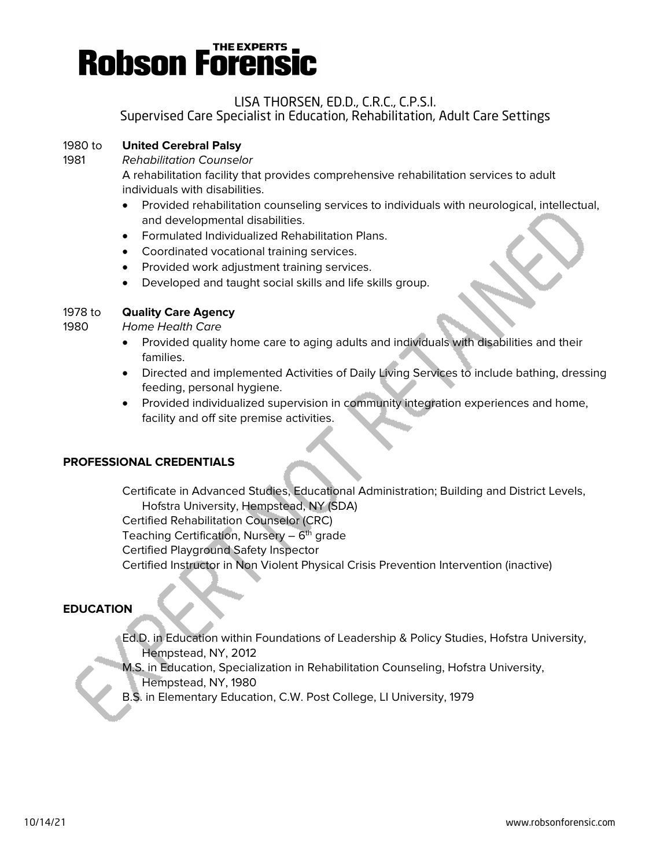

### LISA THORSEN, ED.D., C.R.C., C.P.S.I.

Supervised Care Specialist in Education, Rehabilitation, Adult Care Settings

#### 1980 to **United Cerebral Palsy**

1981 Rehabilitation Counselor

A rehabilitation facility that provides comprehensive rehabilitation services to adult individuals with disabilities.

- Provided rehabilitation counseling services to individuals with neurological, intellectual, and developmental disabilities.
- Formulated Individualized Rehabilitation Plans.
- Coordinated vocational training services.
- Provided work adjustment training services.
- Developed and taught social skills and life skills group.

#### 1978 to **Quality Care Agency**

1980 Home Health Care

- Provided quality home care to aging adults and individuals with disabilities and their families.
- Directed and implemented Activities of Daily Living Services to include bathing, dressing feeding, personal hygiene.
- Provided individualized supervision in community integration experiences and home, facility and off site premise activities.

#### **PROFESSIONAL CREDENTIALS**

Certificate in Advanced Studies, Educational Administration; Building and District Levels, Hofstra University, Hempstead, NY (SDA) Certified Rehabilitation Counselor (CRC) Teaching Certification, Nursery –  $6<sup>th</sup>$  grade Certified Playground Safety Inspector Certified Instructor in Non Violent Physical Crisis Prevention Intervention (inactive)

#### **EDUCATION**

- Ed.D. in Education within Foundations of Leadership & Policy Studies, Hofstra University, Hempstead, NY, 2012
- M.S. in Education, Specialization in Rehabilitation Counseling, Hofstra University, Hempstead, NY, 1980
- B.S. in Elementary Education, C.W. Post College, LI University, 1979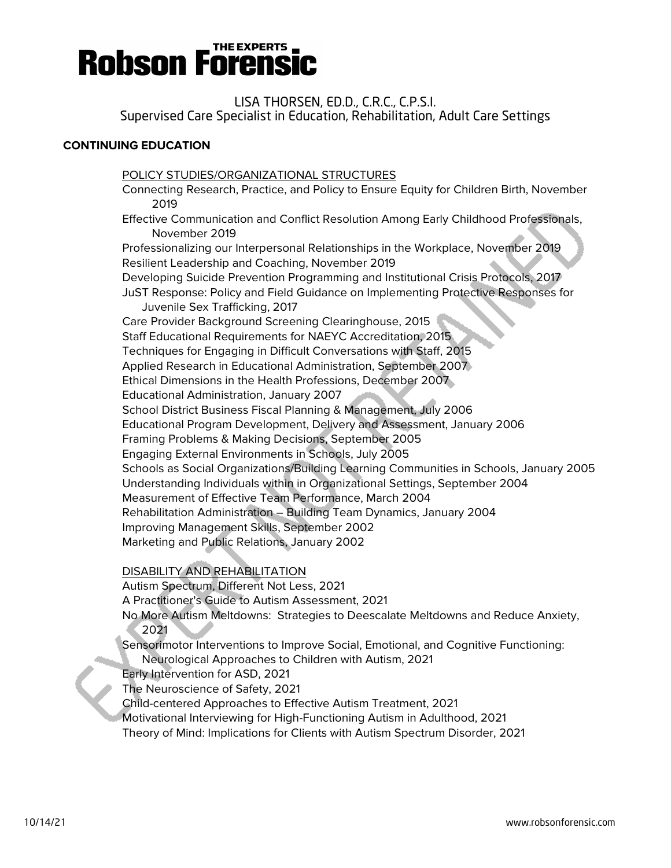LISA THORSEN, ED.D., C.R.C., C.P.S.I. Supervised Care Specialist in Education, Rehabilitation, Adult Care Settings

### **CONTINUING EDUCATION**

POLICY STUDIES/ORGANIZATIONAL STRUCTURES Connecting Research, Practice, and Policy to Ensure Equity for Children Birth, November 2019 Effective Communication and Conflict Resolution Among Early Childhood Professionals, November 2019 Professionalizing our Interpersonal Relationships in the Workplace, November 2019 Resilient Leadership and Coaching, November 2019 Developing Suicide Prevention Programming and Institutional Crisis Protocols, 2017 JuST Response: Policy and Field Guidance on Implementing Protective Responses for Juvenile Sex Trafficking, 2017 Care Provider Background Screening Clearinghouse, 2015 Staff Educational Requirements for NAEYC Accreditation, 2015 Techniques for Engaging in Difficult Conversations with Staff, 2015 Applied Research in Educational Administration, September 2007 Ethical Dimensions in the Health Professions, December 2007 Educational Administration, January 2007 School District Business Fiscal Planning & Management, July 2006 Educational Program Development, Delivery and Assessment, January 2006 Framing Problems & Making Decisions, September 2005 Engaging External Environments in Schools, July 2005 Schools as Social Organizations/Building Learning Communities in Schools, January 2005 Understanding Individuals within in Organizational Settings, September 2004 Measurement of Effective Team Performance, March 2004 Rehabilitation Administration – Building Team Dynamics, January 2004 Improving Management Skills, September 2002 Marketing and Public Relations, January 2002

DISABILITY AND REHABILITATION

Autism Spectrum, Different Not Less, 2021

A Practitioner's Guide to Autism Assessment, 2021

No More Autism Meltdowns: Strategies to Deescalate Meltdowns and Reduce Anxiety, 2021

Sensorimotor Interventions to Improve Social, Emotional, and Cognitive Functioning:

Neurological Approaches to Children with Autism, 2021

Early Intervention for ASD, 2021

The Neuroscience of Safety, 2021

Child-centered Approaches to Effective Autism Treatment, 2021

Motivational Interviewing for High-Functioning Autism in Adulthood, 2021

Theory of Mind: Implications for Clients with Autism Spectrum Disorder, 2021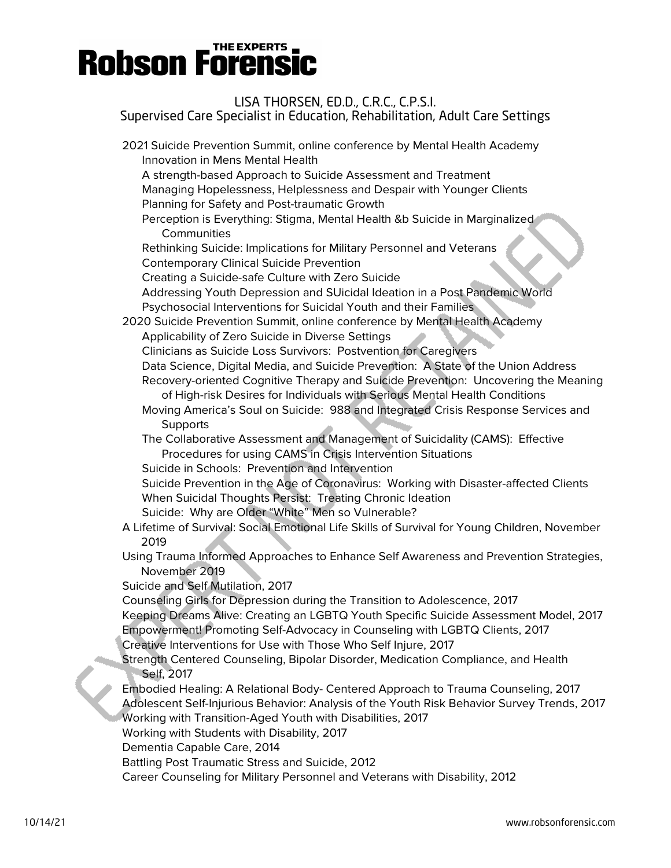| LISA THORSEN, ED.D., C.R.C., C.P.S.I.<br>Supervised Care Specialist in Education, Rehabilitation, Adult Care Settings                                                                                      |
|------------------------------------------------------------------------------------------------------------------------------------------------------------------------------------------------------------|
| 2021 Suicide Prevention Summit, online conference by Mental Health Academy<br>Innovation in Mens Mental Health                                                                                             |
| A strength-based Approach to Suicide Assessment and Treatment<br>Managing Hopelessness, Helplessness and Despair with Younger Clients                                                                      |
| Planning for Safety and Post-traumatic Growth<br>Perception is Everything: Stigma, Mental Health &b Suicide in Marginalized<br>Communities                                                                 |
| Rethinking Suicide: Implications for Military Personnel and Veterans<br><b>Contemporary Clinical Suicide Prevention</b>                                                                                    |
| Creating a Suicide-safe Culture with Zero Suicide<br>Addressing Youth Depression and SUicidal Ideation in a Post Pandemic World                                                                            |
| Psychosocial Interventions for Suicidal Youth and their Families<br>2020 Suicide Prevention Summit, online conference by Mental Health Academy                                                             |
| Applicability of Zero Suicide in Diverse Settings<br>Clinicians as Suicide Loss Survivors: Postvention for Caregivers<br>Data Science, Digital Media, and Suicide Prevention: A State of the Union Address |
| Recovery-oriented Cognitive Therapy and Suicide Prevention: Uncovering the Meaning<br>of High-risk Desires for Individuals with Serious Mental Health Conditions                                           |
| Moving America's Soul on Suicide: 988 and Integrated Crisis Response Services and<br>Supports                                                                                                              |
| The Collaborative Assessment and Management of Suicidality (CAMS): Effective<br>Procedures for using CAMS in Crisis Intervention Situations                                                                |
| Suicide in Schools: Prevention and Intervention<br>Suicide Prevention in the Age of Coronavirus: Working with Disaster-affected Clients                                                                    |
| When Suicidal Thoughts Persist: Treating Chronic Ideation<br>Suicide: Why are Older "White" Men so Vulnerable?                                                                                             |
| A Lifetime of Survival: Social Emotional Life Skills of Survival for Young Children, November<br>2019                                                                                                      |
| Using Trauma Informed Approaches to Enhance Self Awareness and Prevention Strategies,<br>November 2019                                                                                                     |
| Suicide and Self Mutilation, 2017<br>Counseling Girls for Depression during the Transition to Adolescence, 2017                                                                                            |
| Keeping Dreams Alive: Creating an LGBTQ Youth Specific Suicide Assessment Model, 2017                                                                                                                      |
| Empowerment! Promoting Self-Advocacy in Counseling with LGBTQ Clients, 2017                                                                                                                                |
| Creative Interventions for Use with Those Who Self Injure, 2017<br>Strength Centered Counseling, Bipolar Disorder, Medication Compliance, and Health<br>Self, 2017                                         |
| Embodied Healing: A Relational Body- Centered Approach to Trauma Counseling, 2017<br>Adolescent Self-Injurious Behavior: Analysis of the Youth Risk Behavior Survey Trends, 2017                           |
| Working with Transition-Aged Youth with Disabilities, 2017<br>Working with Students with Disability, 2017                                                                                                  |
| Dementia Capable Care, 2014                                                                                                                                                                                |
| Battling Post Traumatic Stress and Suicide, 2012                                                                                                                                                           |
| Career Counseling for Military Personnel and Veterans with Disability, 2012                                                                                                                                |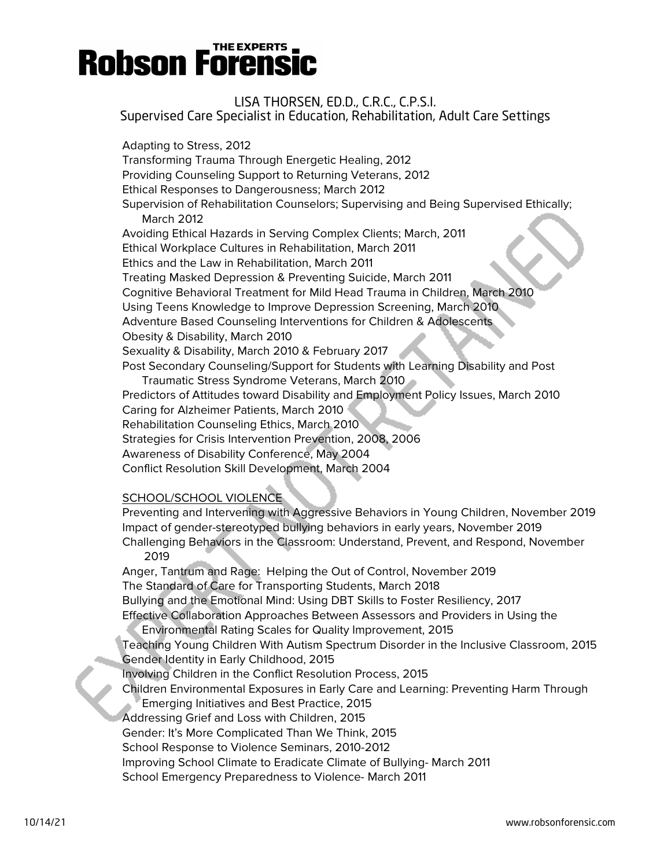LISA THORSEN, ED.D., C.R.C., C.P.S.I. Supervised Care Specialist in Education, Rehabilitation, Adult Care Settings

Adapting to Stress, 2012 Transforming Trauma Through Energetic Healing, 2012 Providing Counseling Support to Returning Veterans, 2012 Ethical Responses to Dangerousness; March 2012 Supervision of Rehabilitation Counselors; Supervising and Being Supervised Ethically; March 2012 Avoiding Ethical Hazards in Serving Complex Clients; March, 2011 Ethical Workplace Cultures in Rehabilitation, March 2011 Ethics and the Law in Rehabilitation, March 2011 Treating Masked Depression & Preventing Suicide, March 2011 Cognitive Behavioral Treatment for Mild Head Trauma in Children, March 2010 Using Teens Knowledge to Improve Depression Screening, March 2010 Adventure Based Counseling Interventions for Children & Adolescents Obesity & Disability, March 2010 Sexuality & Disability, March 2010 & February 2017 Post Secondary Counseling/Support for Students with Learning Disability and Post Traumatic Stress Syndrome Veterans, March 2010 Predictors of Attitudes toward Disability and Employment Policy Issues, March 2010 Caring for Alzheimer Patients, March 2010 Rehabilitation Counseling Ethics, March 2010 Strategies for Crisis Intervention Prevention, 2008, 2006 Awareness of Disability Conference, May 2004 Conflict Resolution Skill Development, March 2004

#### SCHOOL/SCHOOL VIOLENCE

Preventing and Intervening with Aggressive Behaviors in Young Children, November 2019 Impact of gender-stereotyped bullying behaviors in early years, November 2019 Challenging Behaviors in the Classroom: Understand, Prevent, and Respond, November

2019

Anger, Tantrum and Rage: Helping the Out of Control, November 2019 The Standard of Care for Transporting Students, March 2018 Bullying and the Emotional Mind: Using DBT Skills to Foster Resiliency, 2017 Effective Collaboration Approaches Between Assessors and Providers in Using the

Environmental Rating Scales for Quality Improvement, 2015

Teaching Young Children With Autism Spectrum Disorder in the Inclusive Classroom, 2015 Gender Identity in Early Childhood, 2015

Involving Children in the Conflict Resolution Process, 2015

Children Environmental Exposures in Early Care and Learning: Preventing Harm Through

Emerging Initiatives and Best Practice, 2015

Addressing Grief and Loss with Children, 2015

Gender: It's More Complicated Than We Think, 2015

School Response to Violence Seminars, 2010-2012

Improving School Climate to Eradicate Climate of Bullying- March 2011

School Emergency Preparedness to Violence- March 2011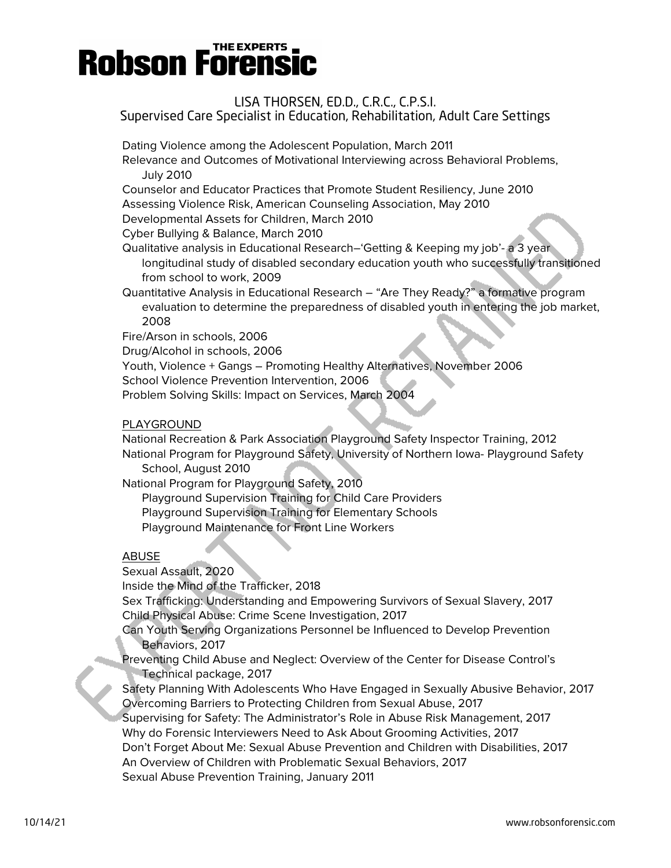#### LISA THORSEN, ED.D., C.R.C., C.P.S.I. Supervised Care Specialist in Education, Rehabilitation, Adult Care Settings

Dating Violence among the Adolescent Population, March 2011

Relevance and Outcomes of Motivational Interviewing across Behavioral Problems, July 2010

Counselor and Educator Practices that Promote Student Resiliency, June 2010

Assessing Violence Risk, American Counseling Association, May 2010

Developmental Assets for Children, March 2010

Cyber Bullying & Balance, March 2010

Qualitative analysis in Educational Research–'Getting & Keeping my job'- a 3 year longitudinal study of disabled secondary education youth who successfully transitioned from school to work, 2009

Quantitative Analysis in Educational Research – "Are They Ready?" a formative program evaluation to determine the preparedness of disabled youth in entering the job market, 2008

Fire/Arson in schools, 2006

Drug/Alcohol in schools, 2006

Youth, Violence + Gangs – Promoting Healthy Alternatives, November 2006

School Violence Prevention Intervention, 2006

Problem Solving Skills: Impact on Services, March 2004

#### PLAYGROUND

National Recreation & Park Association Playground Safety Inspector Training, 2012 National Program for Playground Safety, University of Northern Iowa- Playground Safety School, August 2010

National Program for Playground Safety, 2010

Playground Supervision Training for Child Care Providers Playground Supervision Training for Elementary Schools Playground Maintenance for Front Line Workers

#### ABUSE

Sexual Assault, 2020 Inside the Mind of the Trafficker, 2018 Sex Trafficking: Understanding and Empowering Survivors of Sexual Slavery, 2017 Child Physical Abuse: Crime Scene Investigation, 2017 Can Youth Serving Organizations Personnel be Influenced to Develop Prevention Behaviors, 2017

Preventing Child Abuse and Neglect: Overview of the Center for Disease Control's Technical package, 2017

Safety Planning With Adolescents Who Have Engaged in Sexually Abusive Behavior, 2017 Overcoming Barriers to Protecting Children from Sexual Abuse, 2017 Supervising for Safety: The Administrator's Role in Abuse Risk Management, 2017 Why do Forensic Interviewers Need to Ask About Grooming Activities, 2017 Don't Forget About Me: Sexual Abuse Prevention and Children with Disabilities, 2017 An Overview of Children with Problematic Sexual Behaviors, 2017 Sexual Abuse Prevention Training, January 2011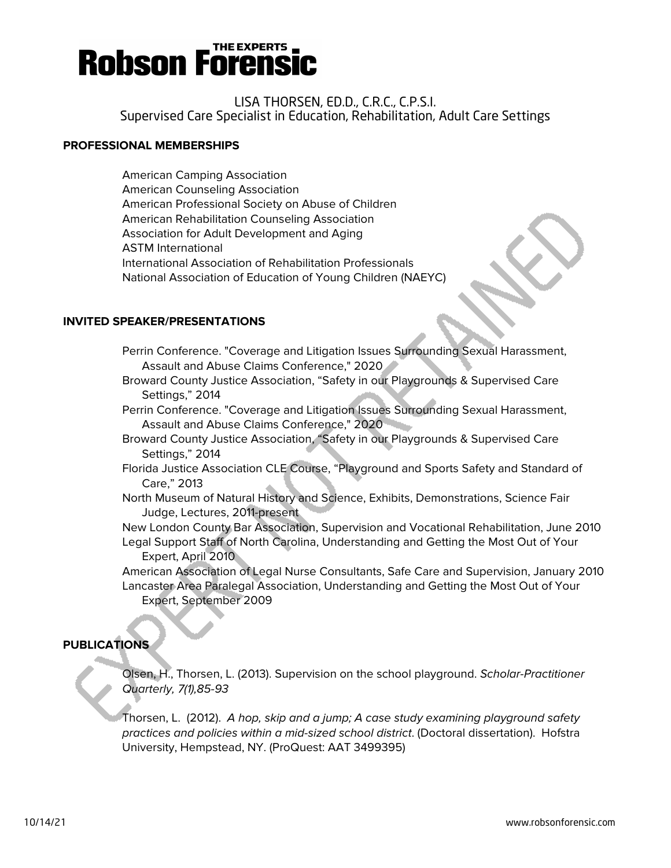

### LISA THORSEN, ED.D., C.R.C., C.P.S.I. Supervised Care Specialist in Education, Rehabilitation, Adult Care Settings

#### **PROFESSIONAL MEMBERSHIPS**

American Camping Association American Counseling Association American Professional Society on Abuse of Children American Rehabilitation Counseling Association Association for Adult Development and Aging ASTM International International Association of Rehabilitation Professionals National Association of Education of Young Children (NAEYC)

#### **INVITED SPEAKER/PRESENTATIONS**

- Perrin Conference. "Coverage and Litigation Issues Surrounding Sexual Harassment, Assault and Abuse Claims Conference," 2020
- Broward County Justice Association, "Safety in our Playgrounds & Supervised Care Settings," 2014
- Perrin Conference. "Coverage and Litigation Issues Surrounding Sexual Harassment, Assault and Abuse Claims Conference," 2020
- Broward County Justice Association, "Safety in our Playgrounds & Supervised Care Settings," 2014
- Florida Justice Association CLE Course, "Playground and Sports Safety and Standard of Care," 2013
- North Museum of Natural History and Science, Exhibits, Demonstrations, Science Fair Judge, Lectures, 2011-present
- New London County Bar Association, Supervision and Vocational Rehabilitation, June 2010 Legal Support Staff of North Carolina, Understanding and Getting the Most Out of Your Expert, April 2010
- American Association of Legal Nurse Consultants, Safe Care and Supervision, January 2010 Lancaster Area Paralegal Association, Understanding and Getting the Most Out of Your Expert, September 2009

#### **PUBLICATIONS**

Olsen, H., Thorsen, L. (2013). Supervision on the school playground. Scholar-Practitioner Quarterly, 7(1),85-93

Thorsen, L. (2012). A hop, skip and a jump; A case study examining playground safety practices and policies within a mid-sized school district. (Doctoral dissertation). Hofstra University, Hempstead, NY. (ProQuest: AAT 3499395)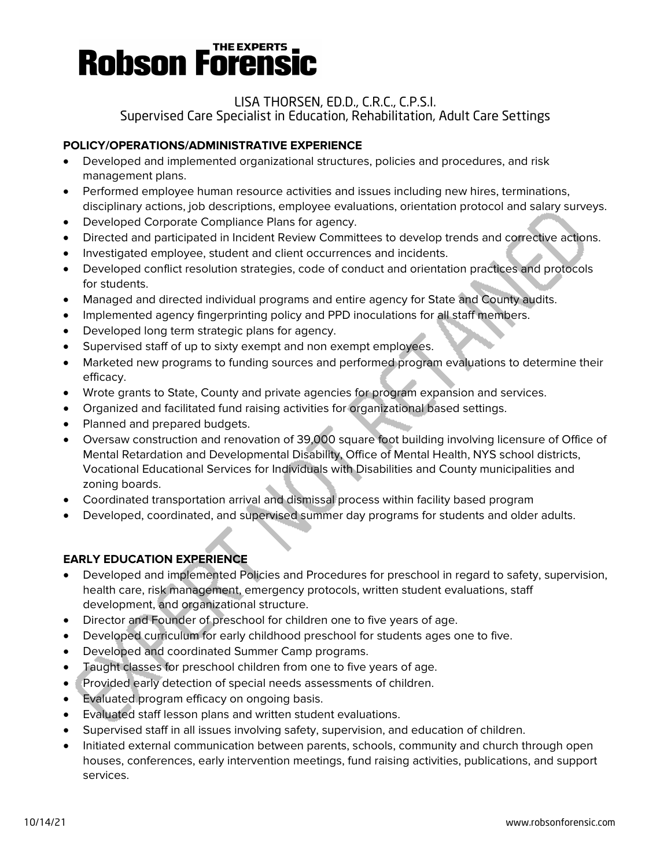### LISA THORSEN, ED.D., C.R.C., C.P.S.I.

Supervised Care Specialist in Education, Rehabilitation, Adult Care Settings

### **POLICY/OPERATIONS/ADMINISTRATIVE EXPERIENCE**

- Developed and implemented organizational structures, policies and procedures, and risk management plans.
- Performed employee human resource activities and issues including new hires, terminations, disciplinary actions, job descriptions, employee evaluations, orientation protocol and salary surveys.
- Developed Corporate Compliance Plans for agency.
- Directed and participated in Incident Review Committees to develop trends and corrective actions.
- Investigated employee, student and client occurrences and incidents.
- Developed conflict resolution strategies, code of conduct and orientation practices and protocols for students.
- Managed and directed individual programs and entire agency for State and County audits.
- Implemented agency fingerprinting policy and PPD inoculations for all staff members.
- Developed long term strategic plans for agency.
- Supervised staff of up to sixty exempt and non exempt employees.
- Marketed new programs to funding sources and performed program evaluations to determine their efficacy.
- Wrote grants to State, County and private agencies for program expansion and services.
- Organized and facilitated fund raising activities for organizational based settings.
- Planned and prepared budgets.
- Oversaw construction and renovation of 39,000 square foot building involving licensure of Office of Mental Retardation and Developmental Disability, Office of Mental Health, NYS school districts, Vocational Educational Services for Individuals with Disabilities and County municipalities and zoning boards.
- Coordinated transportation arrival and dismissal process within facility based program
- Developed, coordinated, and supervised summer day programs for students and older adults.

### **EARLY EDUCATION EXPERIENCE**

- Developed and implemented Policies and Procedures for preschool in regard to safety, supervision, health care, risk management, emergency protocols, written student evaluations, staff development, and organizational structure.
- Director and Founder of preschool for children one to five years of age.
- Developed curriculum for early childhood preschool for students ages one to five.
- Developed and coordinated Summer Camp programs.
- Taught classes for preschool children from one to five years of age.
- Provided early detection of special needs assessments of children.
- Evaluated program efficacy on ongoing basis.
- Evaluated staff lesson plans and written student evaluations.
- Supervised staff in all issues involving safety, supervision, and education of children.
- Initiated external communication between parents, schools, community and church through open houses, conferences, early intervention meetings, fund raising activities, publications, and support services.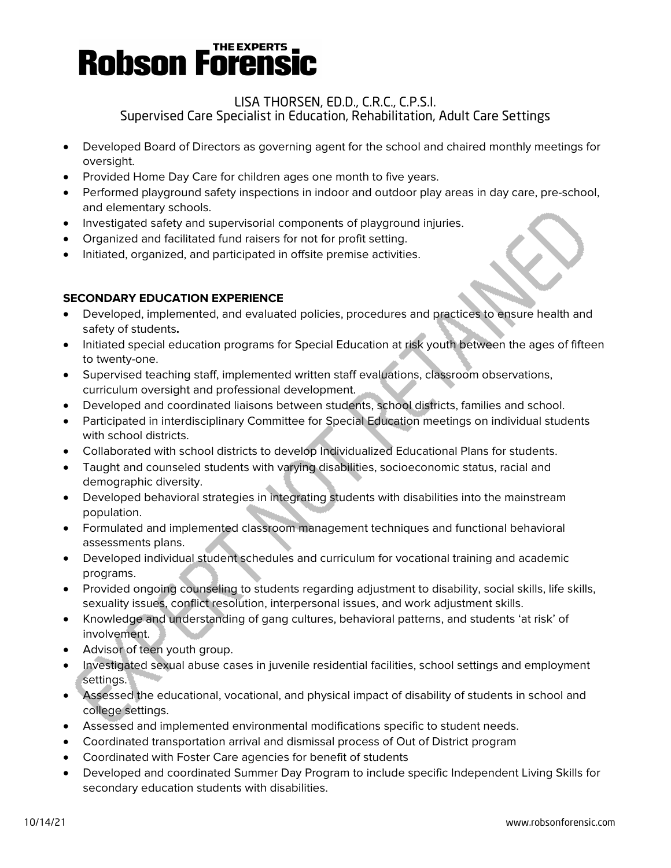#### LISA THORSEN, ED.D., C.R.C., C.P.S.I. Supervised Care Specialist in Education, Rehabilitation, Adult Care Settings

- Developed Board of Directors as governing agent for the school and chaired monthly meetings for oversight.
- Provided Home Day Care for children ages one month to five years.
- Performed playground safety inspections in indoor and outdoor play areas in day care, pre-school, and elementary schools.
- Investigated safety and supervisorial components of playground injuries.
- Organized and facilitated fund raisers for not for profit setting.
- Initiated, organized, and participated in offsite premise activities.

#### **SECONDARY EDUCATION EXPERIENCE**

- Developed, implemented, and evaluated policies, procedures and practices to ensure health and safety of students**.**
- Initiated special education programs for Special Education at risk youth between the ages of fifteen to twenty-one.
- Supervised teaching staff, implemented written staff evaluations, classroom observations, curriculum oversight and professional development.
- Developed and coordinated liaisons between students, school districts, families and school.
- Participated in interdisciplinary Committee for Special Education meetings on individual students with school districts.
- Collaborated with school districts to develop Individualized Educational Plans for students.
- Taught and counseled students with varying disabilities, socioeconomic status, racial and demographic diversity.
- Developed behavioral strategies in integrating students with disabilities into the mainstream population.
- Formulated and implemented classroom management techniques and functional behavioral assessments plans.
- Developed individual student schedules and curriculum for vocational training and academic programs.
- Provided ongoing counseling to students regarding adjustment to disability, social skills, life skills, sexuality issues, conflict resolution, interpersonal issues, and work adjustment skills.
- Knowledge and understanding of gang cultures, behavioral patterns, and students 'at risk' of involvement.
- Advisor of teen youth group.
- Investigated sexual abuse cases in juvenile residential facilities, school settings and employment settings.
- Assessed the educational, vocational, and physical impact of disability of students in school and college settings.
- Assessed and implemented environmental modifications specific to student needs.
- Coordinated transportation arrival and dismissal process of Out of District program
- Coordinated with Foster Care agencies for benefit of students
- Developed and coordinated Summer Day Program to include specific Independent Living Skills for secondary education students with disabilities.